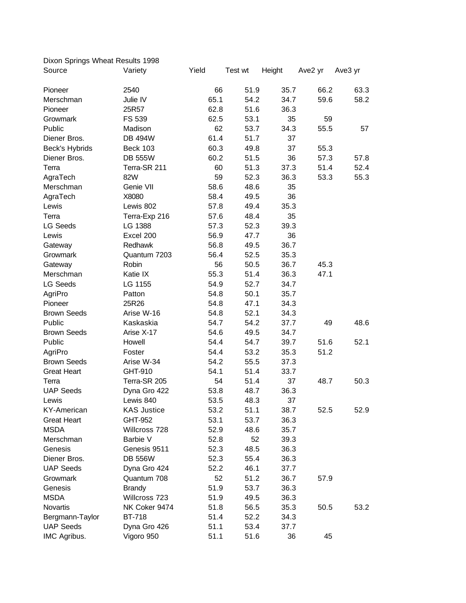| Dixon Springs Wheat Results 1998 |                    |       |         |        |         |         |  |  |  |  |
|----------------------------------|--------------------|-------|---------|--------|---------|---------|--|--|--|--|
| Source                           | Variety            | Yield | Test wt | Height | Ave2 yr | Ave3 yr |  |  |  |  |
| Pioneer                          | 2540               | 66    | 51.9    | 35.7   | 66.2    | 63.3    |  |  |  |  |
| Merschman                        | Julie IV           | 65.1  | 54.2    | 34.7   | 59.6    | 58.2    |  |  |  |  |
| Pioneer                          | 25R57              | 62.8  | 51.6    | 36.3   |         |         |  |  |  |  |
| Growmark                         | FS 539             | 62.5  | 53.1    | 35     | 59      |         |  |  |  |  |
| Public                           | Madison            | 62    | 53.7    | 34.3   | 55.5    | 57      |  |  |  |  |
| Diener Bros.                     | <b>DB 494W</b>     | 61.4  | 51.7    | 37     |         |         |  |  |  |  |
| Beck's Hybrids                   | <b>Beck 103</b>    | 60.3  | 49.8    | 37     | 55.3    |         |  |  |  |  |
| Diener Bros.                     | <b>DB 555W</b>     | 60.2  | 51.5    | 36     | 57.3    | 57.8    |  |  |  |  |
| Terra                            | Terra-SR 211       | 60    | 51.3    | 37.3   | 51.4    | 52.4    |  |  |  |  |
| AgraTech                         | 82W                | 59    | 52.3    | 36.3   | 53.3    | 55.3    |  |  |  |  |
| Merschman                        | Genie VII          | 58.6  | 48.6    | 35     |         |         |  |  |  |  |
| AgraTech                         | X8080              | 58.4  | 49.5    | 36     |         |         |  |  |  |  |
| Lewis                            | Lewis 802          | 57.8  | 49.4    | 35.3   |         |         |  |  |  |  |
| Terra                            | Terra-Exp 216      | 57.6  | 48.4    | 35     |         |         |  |  |  |  |
| <b>LG Seeds</b>                  | LG 1388            | 57.3  | 52.3    | 39.3   |         |         |  |  |  |  |
| Lewis                            | Excel 200          | 56.9  | 47.7    | 36     |         |         |  |  |  |  |
| Gateway                          | Redhawk            | 56.8  | 49.5    | 36.7   |         |         |  |  |  |  |
| Growmark                         | Quantum 7203       | 56.4  | 52.5    | 35.3   |         |         |  |  |  |  |
| Gateway                          | Robin              | 56    | 50.5    | 36.7   | 45.3    |         |  |  |  |  |
| Merschman                        | Katie IX           | 55.3  | 51.4    | 36.3   | 47.1    |         |  |  |  |  |
| <b>LG Seeds</b>                  | LG 1155            | 54.9  | 52.7    | 34.7   |         |         |  |  |  |  |
| AgriPro                          | Patton             | 54.8  | 50.1    | 35.7   |         |         |  |  |  |  |
| Pioneer                          | 25R26              | 54.8  | 47.1    | 34.3   |         |         |  |  |  |  |
| <b>Brown Seeds</b>               | Arise W-16         | 54.8  | 52.1    | 34.3   |         |         |  |  |  |  |
| Public                           | Kaskaskia          | 54.7  | 54.2    | 37.7   | 49      | 48.6    |  |  |  |  |
| <b>Brown Seeds</b>               | Arise X-17         | 54.6  | 49.5    | 34.7   |         |         |  |  |  |  |
| Public                           | Howell             | 54.4  | 54.7    | 39.7   | 51.6    | 52.1    |  |  |  |  |
| AgriPro                          | Foster             | 54.4  | 53.2    | 35.3   | 51.2    |         |  |  |  |  |
| <b>Brown Seeds</b>               | Arise W-34         | 54.2  | 55.5    | 37.3   |         |         |  |  |  |  |
| <b>Great Heart</b>               | GHT-910            | 54.1  | 51.4    | 33.7   |         |         |  |  |  |  |
| Terra                            | Terra-SR 205       | 54    | 51.4    | 37     | 48.7    | 50.3    |  |  |  |  |
| <b>UAP Seeds</b>                 | Dyna Gro 422       | 53.8  | 48.7    | 36.3   |         |         |  |  |  |  |
| Lewis                            | Lewis 840          | 53.5  | 48.3    | 37     |         |         |  |  |  |  |
| <b>KY-American</b>               | <b>KAS Justice</b> | 53.2  | 51.1    | 38.7   | 52.5    | 52.9    |  |  |  |  |
| <b>Great Heart</b>               | GHT-952            | 53.1  | 53.7    | 36.3   |         |         |  |  |  |  |
| <b>MSDA</b>                      | Willcross 728      | 52.9  | 48.6    | 35.7   |         |         |  |  |  |  |
| Merschman                        | Barbie V           | 52.8  | 52      | 39.3   |         |         |  |  |  |  |
| Genesis                          | Genesis 9511       | 52.3  | 48.5    | 36.3   |         |         |  |  |  |  |
| Diener Bros.                     | <b>DB 556W</b>     | 52.3  | 55.4    | 36.3   |         |         |  |  |  |  |
| <b>UAP Seeds</b>                 | Dyna Gro 424       | 52.2  | 46.1    | 37.7   |         |         |  |  |  |  |
| Growmark                         | Quantum 708        | 52    | 51.2    | 36.7   | 57.9    |         |  |  |  |  |
| Genesis                          | <b>Brandy</b>      | 51.9  | 53.7    | 36.3   |         |         |  |  |  |  |
| <b>MSDA</b>                      | Willcross 723      | 51.9  | 49.5    | 36.3   |         |         |  |  |  |  |
| Novartis                         | NK Coker 9474      | 51.8  | 56.5    | 35.3   | 50.5    | 53.2    |  |  |  |  |
| Bergmann-Taylor                  | <b>BT-718</b>      | 51.4  | 52.2    | 34.3   |         |         |  |  |  |  |
| <b>UAP Seeds</b>                 | Dyna Gro 426       | 51.1  | 53.4    | 37.7   |         |         |  |  |  |  |
| IMC Agribus.                     | Vigoro 950         | 51.1  | 51.6    | 36     | 45      |         |  |  |  |  |